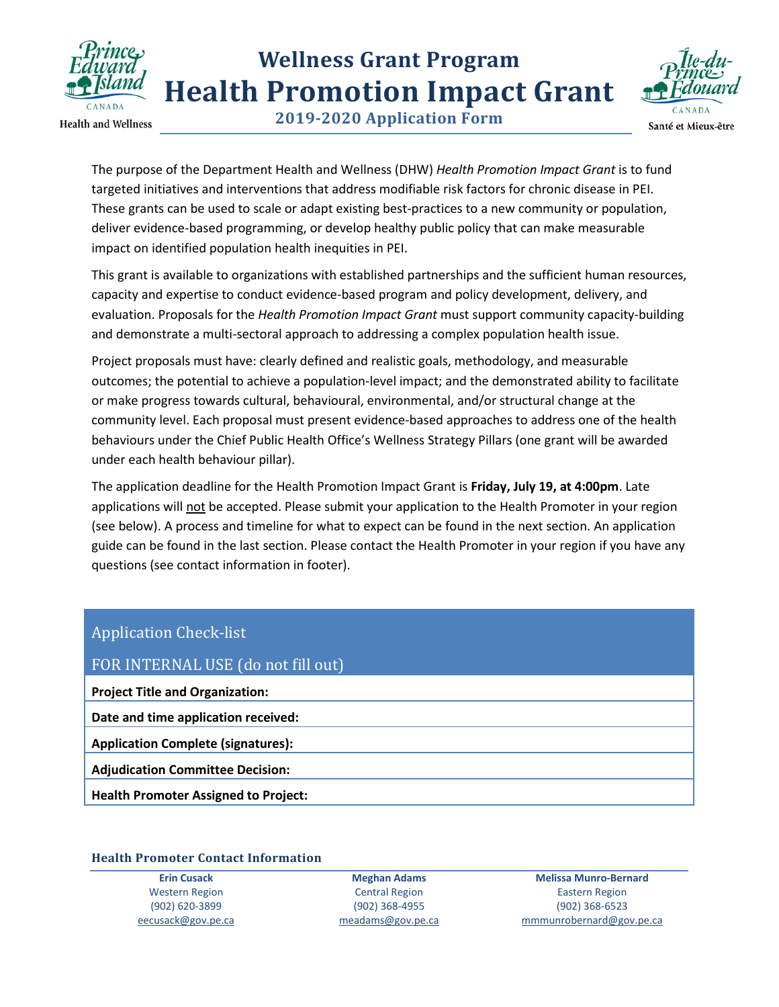

**Health and Wellness** 

**2019-2020 Application Form**



The purpose of the Department Health and Wellness (DHW) *Health Promotion Impact Grant* is to fund targeted initiatives and interventions that address modifiable risk factors for chronic disease in PEI. These grants can be used to scale or adapt existing best-practices to a new community or population, deliver evidence-based programming, or develop healthy public policy that can make measurable impact on identified population health inequities in PEI.

This grant is available to organizations with established partnerships and the sufficient human resources, capacity and expertise to conduct evidence-based program and policy development, delivery, and evaluation. Proposals for the *Health Promotion Impact Grant* must support community capacity-building and demonstrate a multi-sectoral approach to addressing a complex population health issue.

Project proposals must have: clearly defined and realistic goals, methodology, and measurable outcomes; the potential to achieve a population-level impact; and the demonstrated ability to facilitate or make progress towards cultural, behavioural, environmental, and/or structural change at the community level. Each proposal must present evidence-based approaches to address one of the health behaviours under the Chief Public Health Office's Wellness Strategy Pillars (one grant will be awarded under each health behaviour pillar).

The application deadline for the Health Promotion Impact Grant is **Friday, July 19, at 4:00pm**. Late applications will not be accepted. Please submit your application to the Health Promoter in your region (see below). A process and timeline for what to expect can be found in the next section. An application guide can be found in the last section. Please contact the Health Promoter in your region if you have any questions (see contact information in footer).

### Application Check-list

| FOR INTERNAL USE (do not fill out)          |
|---------------------------------------------|
| <b>Project Title and Organization:</b>      |
| Date and time application received:         |
| <b>Application Complete (signatures):</b>   |
| <b>Adjudication Committee Decision:</b>     |
| <b>Health Promoter Assigned to Project:</b> |
|                                             |

#### **Health Promoter Contact Information**

**Erin Cusack** Western Region (902) 620-3899 [eecusack@gov.pe.ca](mailto:eecusack@gov.pe.ca)

**Meghan Adams** Central Region (902) 368-4955 [meadams@gov.pe.ca](mailto:meadams@gov.pe.ca)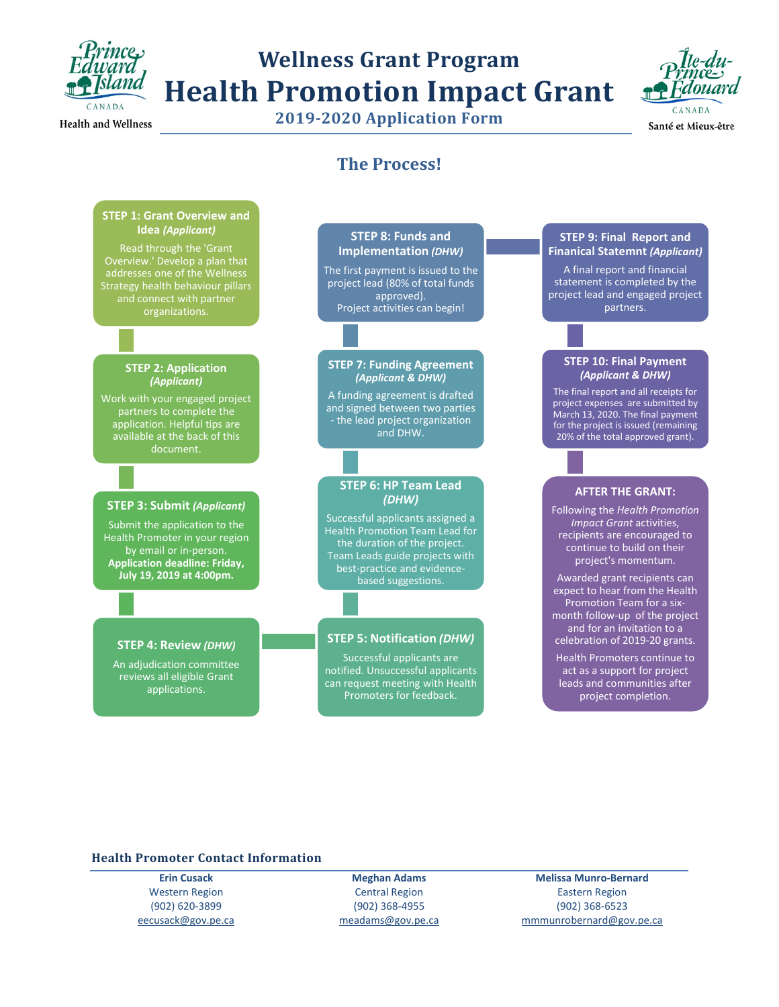

## **Wellness Grant Program Health Promotion Impact Grant 2019-2020 Application Form**



Santé et Mieux-être

### **The Process!**

#### **STEP 1: Grant Overview and Idea** *(Applicant)*

Read through the 'Grant Overview.' Develop a plan that addresses one of the Wellness Strategy health behaviour pillars and connect with partner organizations.

#### **STEP 2: Application**  *(Applicant)*

Work with your engaged project partners to complete the application. Helpful tips are available at the back of this document.

#### **STEP 3: Submit** *(Applicant)*

Submit the application to the Health Promoter in your region by email or in-person. **Application deadline: Friday, July 19, 2019 at 4:00pm.** 

#### **STEP 8: Funds and Implementation** *(DHW)*

The first payment is issued to the project lead (80% of total funds approved). Project activities can begin!

#### **STEP 7: Funding Agreement**  *(Applicant & DHW)*

A funding agreement is drafted and signed between two parties - the lead project organization and DHW.

#### **STEP 6: HP Team Lead**  *(DHW)*

Successful applicants assigned a Health Promotion Team Lead for the duration of the project. Team Leads guide projects with best-practice and evidencebased suggestions.

#### **STEP 5: Notification** *(DHW)*

Successful applicants are notified. Unsuccessful applicants can request meeting with Health Promoters for feedback.

#### **STEP 9: Final Report and Finanical Statemnt** *(Applicant)*

A final report and financial statement is completed by the project lead and engaged project partners.

#### **STEP 10: Final Payment**  *(Applicant & DHW)*

The final report and all receipts for project expenses are submitted by March 13, 2020. The final payment for the project is issued (remaining 20% of the total approved grant).

#### **AFTER THE GRANT:**

Following the *Health Promotion Impact Grant* activities, recipients are encouraged to continue to build on their project's momentum.

Awarded grant recipients can expect to hear from the Health Promotion Team for a sixmonth follow-up of the project and for an invitation to a celebration of 2019-20 grants.

Health Promoters continue to act as a support for project leads and communities after project completion.

#### **STEP 4: Review** *(DHW)*

An adjudication committee reviews all eligible Grant applications.

#### **Health Promoter Contact Information**

**Erin Cusack** Western Region (902) 620-3899 [eecusack@gov.pe.ca](mailto:eecusack@gov.pe.ca)

**Meghan Adams** Central Region (902) 368-4955 [meadams@gov.pe.ca](mailto:meadams@gov.pe.ca)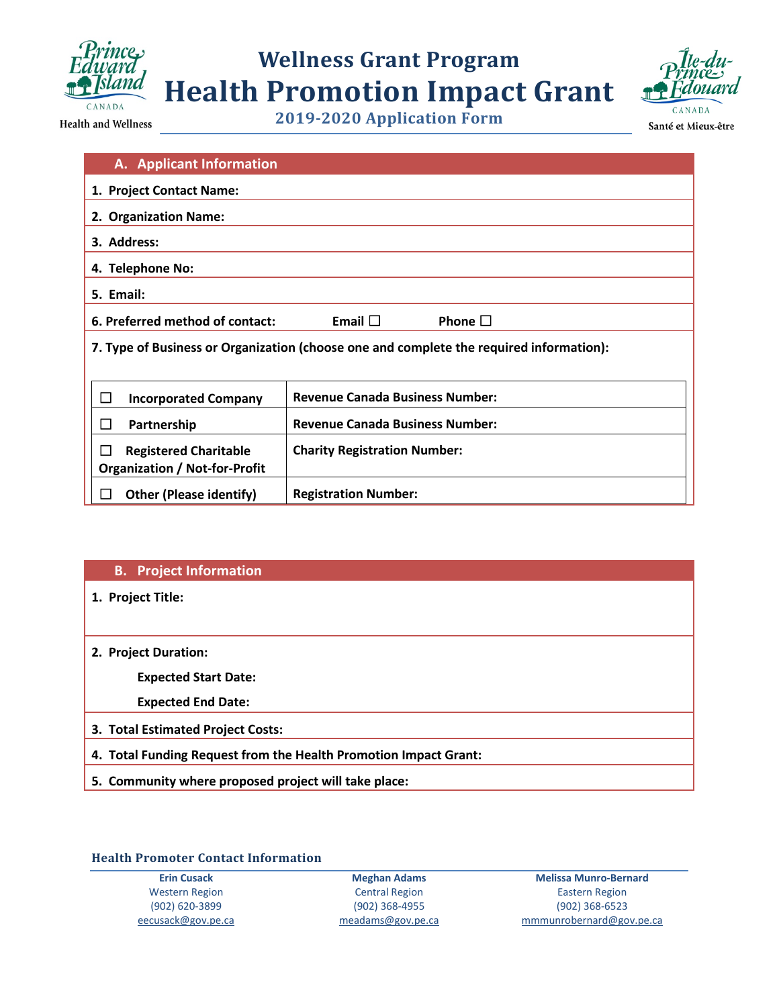



Santé et Mieux-être

**Health and Wellness** 

**2019-2020 Application Form**

| A. Applicant Information                                                                |                                        |  |
|-----------------------------------------------------------------------------------------|----------------------------------------|--|
| 1. Project Contact Name:                                                                |                                        |  |
|                                                                                         |                                        |  |
| 2. Organization Name:                                                                   |                                        |  |
| 3. Address:                                                                             |                                        |  |
| 4. Telephone No:                                                                        |                                        |  |
| 5. Email:                                                                               |                                        |  |
| Email $\square$<br>6. Preferred method of contact:<br>Phone $\square$                   |                                        |  |
| 7. Type of Business or Organization (choose one and complete the required information): |                                        |  |
|                                                                                         |                                        |  |
| <b>Incorporated Company</b><br>ΙI                                                       | <b>Revenue Canada Business Number:</b> |  |
| Partnership                                                                             | <b>Revenue Canada Business Number:</b> |  |
|                                                                                         |                                        |  |
| $\Box$<br><b>Registered Charitable</b>                                                  | <b>Charity Registration Number:</b>    |  |
| <b>Organization / Not-for-Profit</b>                                                    |                                        |  |
| <b>Other (Please identify)</b>                                                          | <b>Registration Number:</b>            |  |

#### **B. Project Information**

**1. Project Title:** 

**2. Project Duration:** 

**Expected Start Date:** 

**Expected End Date:** 

- **3. Total Estimated Project Costs:**
- **4. Total Funding Request from the Health Promotion Impact Grant:**
- **5. Community where proposed project will take place:**

#### **Health Promoter Contact Information**

**Erin Cusack** Western Region (902) 620-3899 [eecusack@gov.pe.ca](mailto:eecusack@gov.pe.ca)

**Meghan Adams** Central Region (902) 368-4955 [meadams@gov.pe.ca](mailto:meadams@gov.pe.ca)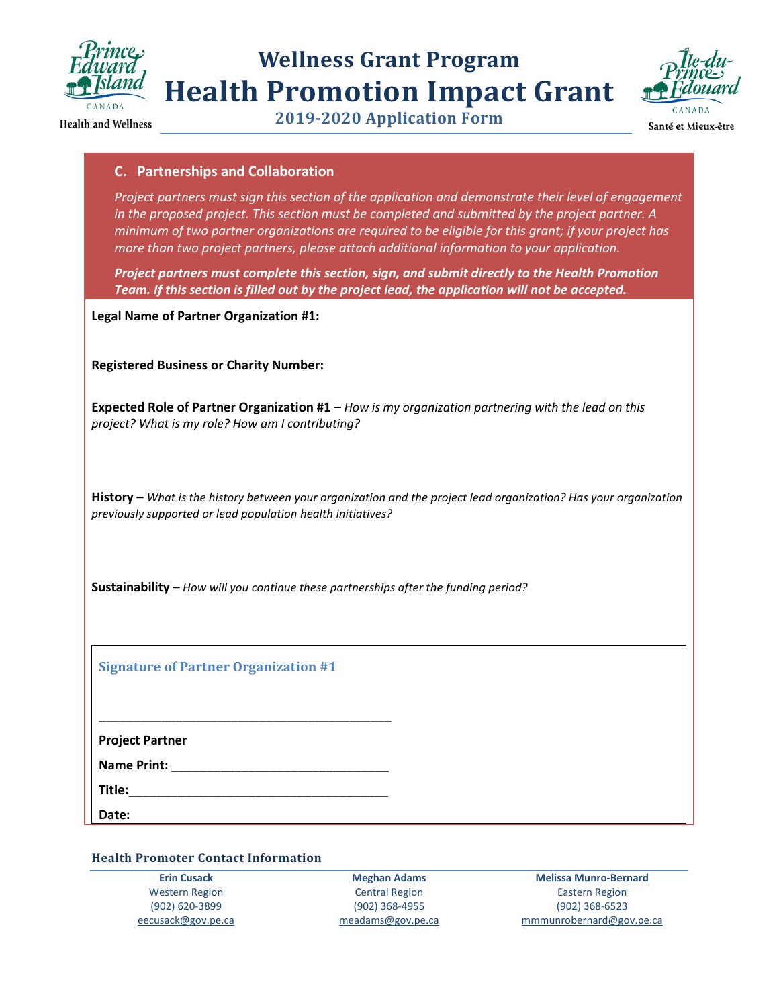

## **Wellness Grant Program Health Promotion Impact Grant 2019-2020 Application Form**



**Health and Wellness** 

Santé et Mieux-être

### **C. Partnerships and Collaboration**

*Project partners must sign this section of the application and demonstrate their level of engagement in the proposed project. This section must be completed and submitted by the project partner. A minimum of two partner organizations are required to be eligible for this grant; if your project has more than two project partners, please attach additional information to your application.*

*Project partners must complete this section, sign, and submit directly to the Health Promotion Team. If this section is filled out by the project lead, the application will not be accepted.* 

**Legal Name of Partner Organization #1:** 

**Registered Business or Charity Number:** 

**Expected Role of Partner Organization #1** – *How is my organization partnering with the lead on this project? What is my role? How am I contributing?* 

**History –** *What is the history between your organization and the project lead organization? Has your organization previously supported or lead population health initiatives?* 

**Sustainability –** *How will you continue these partnerships after the funding period?* 

**Signature of Partner Organization #1**

\_\_\_\_\_\_\_\_\_\_\_\_\_\_\_\_\_\_\_\_\_\_\_\_\_\_\_\_\_\_\_\_\_\_\_\_\_\_\_\_\_\_

**Project Partner**

**Name Print:**  $\blacksquare$ 

**Title:**\_\_\_\_\_\_\_\_\_\_\_\_\_\_\_\_\_\_\_\_\_\_\_\_\_\_\_\_\_\_\_\_\_\_\_\_\_

**Date:** 

**Health Promoter Contact Information** 

**Erin Cusack** Western Region (902) 620-3899 [eecusack@gov.pe.ca](mailto:eecusack@gov.pe.ca)

**Meghan Adams** Central Region (902) 368-4955 [meadams@gov.pe.ca](mailto:meadams@gov.pe.ca)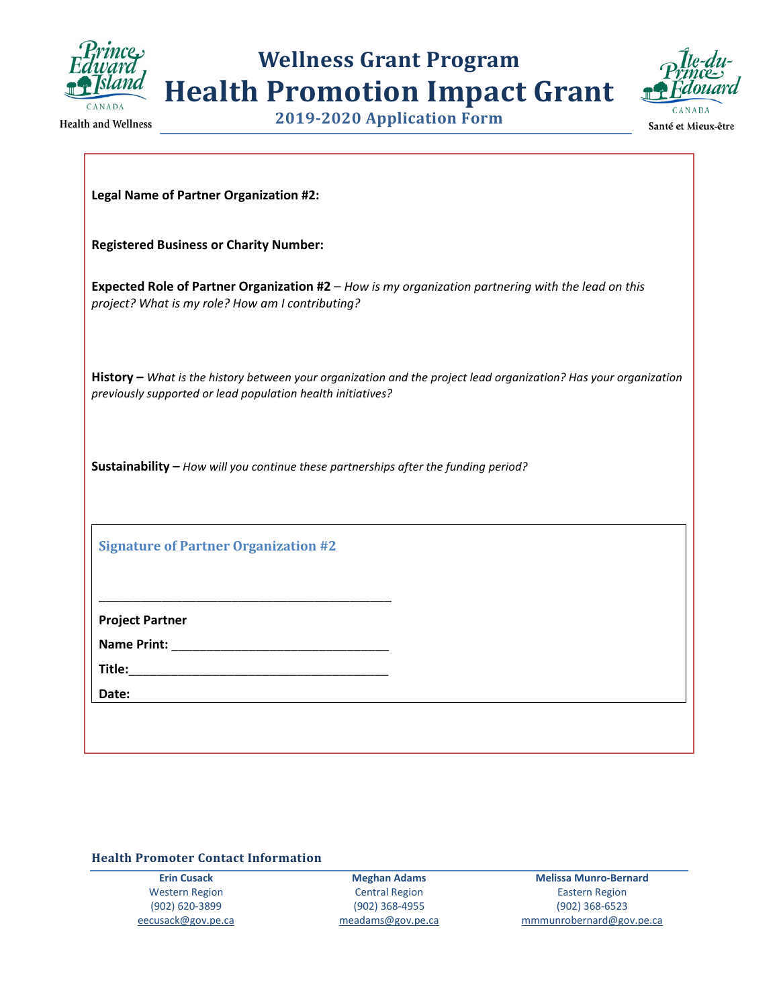

**2019-2020 Application Form**



**Health and Wellness** 

Santé et Mieux-être

|  |  | Legal Name of Partner Organization #2: |
|--|--|----------------------------------------|
|--|--|----------------------------------------|

**Registered Business or Charity Number:** 

**Expected Role of Partner Organization #2** – *How is my organization partnering with the lead on this project? What is my role? How am I contributing?*

**History –** *What is the history between your organization and the project lead organization? Has your organization previously supported or lead population health initiatives?* 

**Sustainability –** *How will you continue these partnerships after the funding period?* 

**Signature of Partner Organization #2**

\_\_\_\_\_\_\_\_\_\_\_\_\_\_\_\_\_\_\_\_\_\_\_\_\_\_\_\_\_\_\_\_\_\_\_\_\_\_\_\_\_\_

**Project Partner**

**Name Print:** \_\_\_\_\_\_\_\_\_\_\_\_\_\_\_\_\_\_\_\_\_\_\_\_\_\_\_\_\_\_\_

**Title:**\_\_\_\_\_\_\_\_\_\_\_\_\_\_\_\_\_\_\_\_\_\_\_\_\_\_\_\_\_\_\_\_\_\_\_\_\_

**Date:** 

**Health Promoter Contact Information** 

**Erin Cusack** Western Region (902) 620-3899 [eecusack@gov.pe.ca](mailto:eecusack@gov.pe.ca)

**Meghan Adams** Central Region (902) 368-4955 [meadams@gov.pe.ca](mailto:meadams@gov.pe.ca)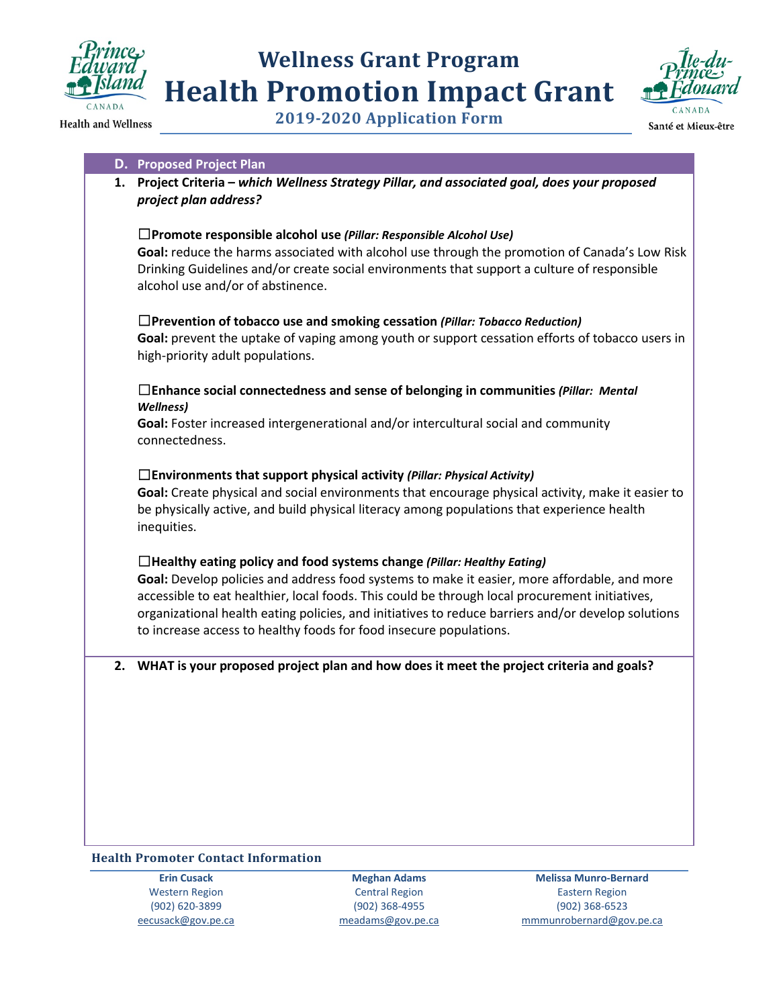



**2019-2020 Application Form**

#### **D. Proposed Project Plan**

**1. Project Criteria –** *which Wellness Strategy Pillar, and associated goal, does your proposed project plan address?*

#### ☐**Promote responsible alcohol use** *(Pillar: Responsible Alcohol Use)*

**Goal:** reduce the harms associated with alcohol use through the promotion of Canada's Low Risk Drinking Guidelines and/or create social environments that support a culture of responsible alcohol use and/or of abstinence.

#### ☐**Prevention of tobacco use and smoking cessation** *(Pillar: Tobacco Reduction)*

**Goal:** prevent the uptake of vaping among youth or support cessation efforts of tobacco users in high-priority adult populations.

#### ☐**Enhance social connectedness and sense of belonging in communities** *(Pillar: Mental Wellness)*

**Goal:** Foster increased intergenerational and/or intercultural social and community connectedness.

#### ☐**Environments that support physical activity** *(Pillar: Physical Activity)*

**Goal:** Create physical and social environments that encourage physical activity, make it easier to be physically active, and build physical literacy among populations that experience health inequities.

#### ☐**Healthy eating policy and food systems change** *(Pillar: Healthy Eating)*

**Goal:** Develop policies and address food systems to make it easier, more affordable, and more accessible to eat healthier, local foods. This could be through local procurement initiatives, organizational health eating policies, and initiatives to reduce barriers and/or develop solutions to increase access to healthy foods for food insecure populations.

#### **2. WHAT is your proposed project plan and how does it meet the project criteria and goals?**

#### **Health Promoter Contact Information**

**Erin Cusack** Western Region (902) 620-3899 [eecusack@gov.pe.ca](mailto:eecusack@gov.pe.ca)

**Meghan Adams** Central Region (902) 368-4955 [meadams@gov.pe.ca](mailto:meadams@gov.pe.ca)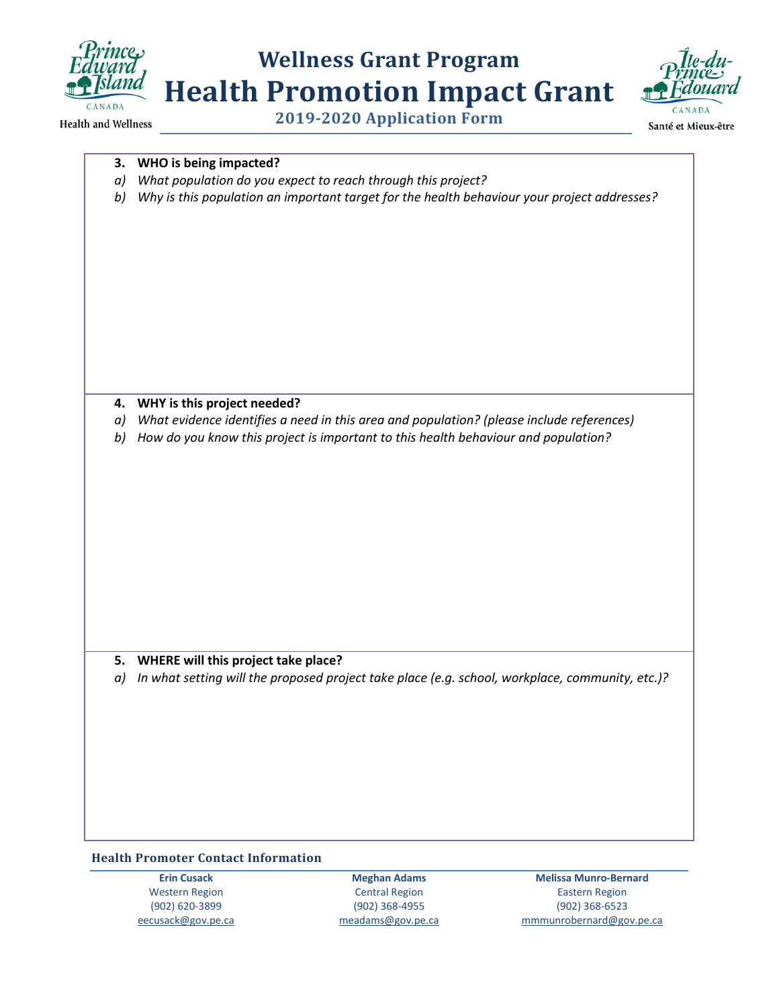

**Health and Wellness** 

## **Wellness Grant Program Health Promotion Impact Grant 2019-2020 Application Form**



Santé et Mieux-être

#### **3. WHO is being impacted?**

- *a) What population do you expect to reach through this project?*
- *b) Why is this population an important target for the health behaviour your project addresses?*

#### **4. WHY is this project needed?**

- *a) What evidence identifies a need in this area and population? (please include references)*
- *b) How do you know this project is important to this health behaviour and population?*

#### **5. WHERE will this project take place?**

*a) In what setting will the proposed project take place (e.g. school, workplace, community, etc.)?*

#### **Health Promoter Contact Information**

**Erin Cusack** Western Region (902) 620-3899 [eecusack@gov.pe.ca](mailto:eecusack@gov.pe.ca)

**Meghan Adams** Central Region (902) 368-4955 [meadams@gov.pe.ca](mailto:meadams@gov.pe.ca)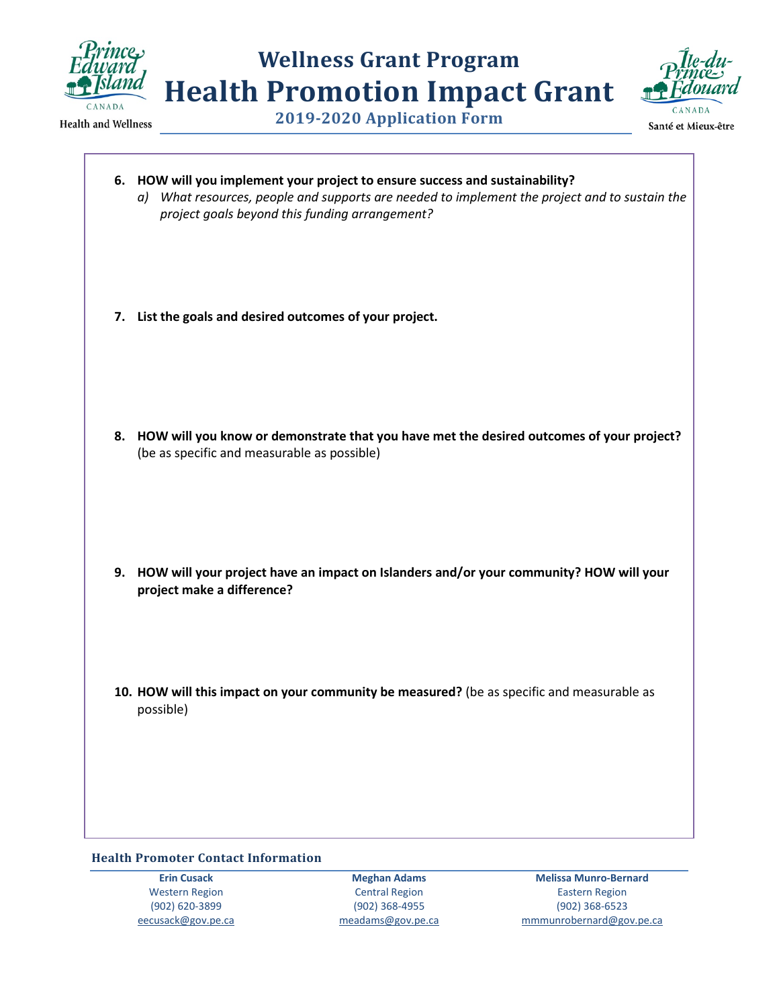



**2019-2020 Application Form**

| 6. HOW will you implement your project to ensure success and sustainability?<br>a) What resources, people and supports are needed to implement the project and to sustain the<br>project goals beyond this funding arrangement? |
|---------------------------------------------------------------------------------------------------------------------------------------------------------------------------------------------------------------------------------|
| 7. List the goals and desired outcomes of your project.                                                                                                                                                                         |
| 8. HOW will you know or demonstrate that you have met the desired outcomes of your project?<br>(be as specific and measurable as possible)                                                                                      |
| 9. HOW will your project have an impact on Islanders and/or your community? HOW will your<br>project make a difference?                                                                                                         |
| 10. HOW will this impact on your community be measured? (be as specific and measurable as<br>possible)                                                                                                                          |
|                                                                                                                                                                                                                                 |

#### **Health Promoter Contact Information**

**Erin Cusack** Western Region (902) 620-3899 [eecusack@gov.pe.ca](mailto:eecusack@gov.pe.ca)

**Meghan Adams** Central Region (902) 368-4955 [meadams@gov.pe.ca](mailto:meadams@gov.pe.ca)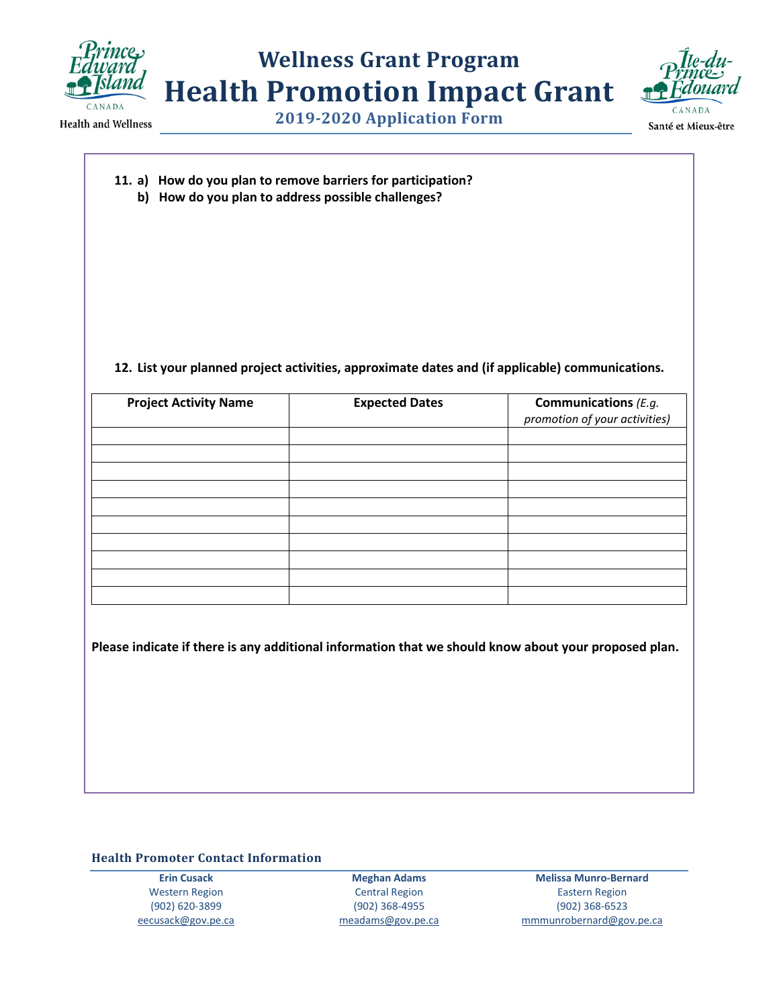

## **Wellness Grant Program Health Promotion Impact Grant 2019-2020 Application Form**





Santé et Mieux-être

**11. a) How do you plan to remove barriers for participation?**

**b) How do you plan to address possible challenges?**

#### **12. List your planned project activities, approximate dates and (if applicable) communications.**

| <b>Project Activity Name</b> | <b>Expected Dates</b> | <b>Communications</b> (E.g.<br>promotion of your activities) |
|------------------------------|-----------------------|--------------------------------------------------------------|
|                              |                       |                                                              |
|                              |                       |                                                              |
|                              |                       |                                                              |
|                              |                       |                                                              |
|                              |                       |                                                              |
|                              |                       |                                                              |
|                              |                       |                                                              |
|                              |                       |                                                              |
|                              |                       |                                                              |
|                              |                       |                                                              |

**Please indicate if there is any additional information that we should know about your proposed plan.** 

#### **Health Promoter Contact Information**

**Erin Cusack** Western Region (902) 620-3899 [eecusack@gov.pe.ca](mailto:eecusack@gov.pe.ca)

**Meghan Adams** Central Region (902) 368-4955 [meadams@gov.pe.ca](mailto:meadams@gov.pe.ca)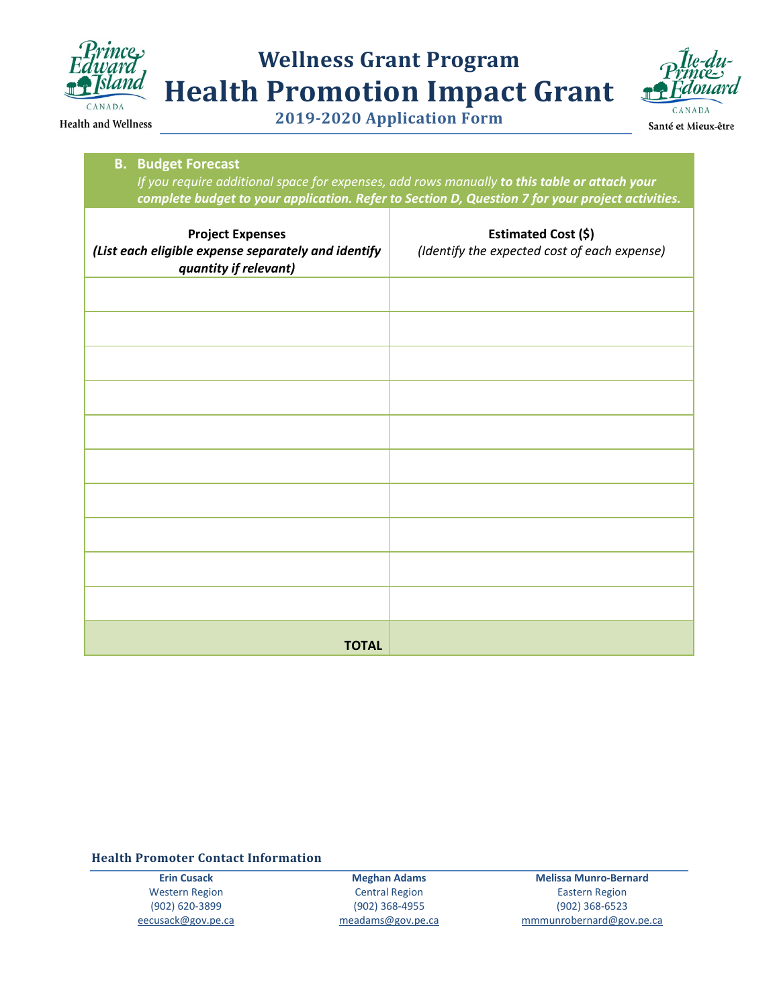

| <b>B.</b> Budget Forecast<br>If you require additional space for expenses, add rows manually to this table or attach your |                                                                                                  |
|---------------------------------------------------------------------------------------------------------------------------|--------------------------------------------------------------------------------------------------|
|                                                                                                                           | complete budget to your application. Refer to Section D, Question 7 for your project activities. |
| <b>Project Expenses</b><br>(List each eligible expense separately and identify<br>quantity if relevant)                   | Estimated Cost (\$)<br>(Identify the expected cost of each expense)                              |
|                                                                                                                           |                                                                                                  |
|                                                                                                                           |                                                                                                  |
|                                                                                                                           |                                                                                                  |
|                                                                                                                           |                                                                                                  |
|                                                                                                                           |                                                                                                  |
|                                                                                                                           |                                                                                                  |
|                                                                                                                           |                                                                                                  |
|                                                                                                                           |                                                                                                  |
|                                                                                                                           |                                                                                                  |
|                                                                                                                           |                                                                                                  |
| <b>TOTAL</b>                                                                                                              |                                                                                                  |

**Health Promoter Contact Information** 

**Erin Cusack** Western Region (902) 620-3899 [eecusack@gov.pe.ca](mailto:eecusack@gov.pe.ca)

**Meghan Adams** Central Region (902) 368-4955 [meadams@gov.pe.ca](mailto:meadams@gov.pe.ca)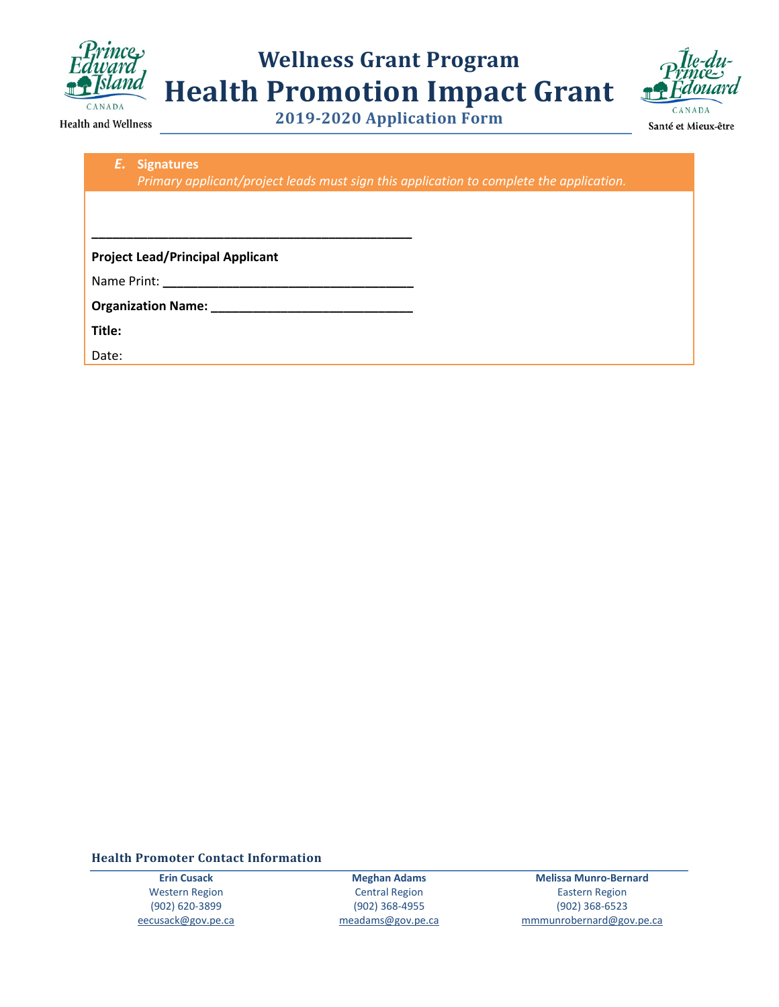

**2019-2020 Application Form**



Santé et Mieux-être

Health and Wellness

| E. Signatures                                                                                                                                                                                                                      |
|------------------------------------------------------------------------------------------------------------------------------------------------------------------------------------------------------------------------------------|
| Primary applicant/project leads must sign this application to complete the application.                                                                                                                                            |
|                                                                                                                                                                                                                                    |
|                                                                                                                                                                                                                                    |
|                                                                                                                                                                                                                                    |
| <b>Project Lead/Principal Applicant</b>                                                                                                                                                                                            |
|                                                                                                                                                                                                                                    |
| <b>Organization Name: Cambridge Control Control Control Control Control Control Control Control Control Control Control Control Control Control Control Control Control Control Control Control Control Control Control Contro</b> |
| Title:                                                                                                                                                                                                                             |
| Date:                                                                                                                                                                                                                              |
|                                                                                                                                                                                                                                    |

**Health Promoter Contact Information** 

**Erin Cusack** Western Region (902) 620-3899 [eecusack@gov.pe.ca](mailto:eecusack@gov.pe.ca)

**Meghan Adams** Central Region (902) 368-4955 [meadams@gov.pe.ca](mailto:meadams@gov.pe.ca)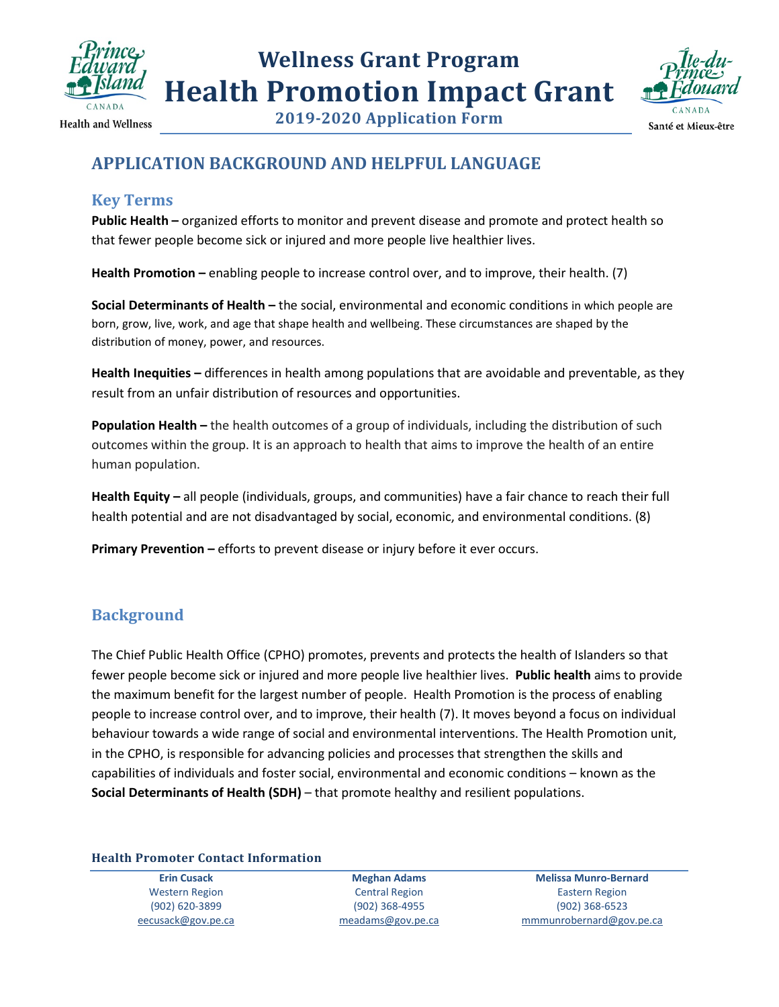



**2019-2020 Application Form**

### **APPLICATION BACKGROUND AND HELPFUL LANGUAGE**

### **Key Terms**

**Public Health –** organized efforts to monitor and prevent disease and promote and protect health so that fewer people become sick or injured and more people live healthier lives.

**Health Promotion –** enabling people to increase control over, and to improve, their health. (7)

**Social Determinants of Health –** the social, environmental and economic conditions in which people are born, grow, live, work, and age that shape health and wellbeing. These circumstances are shaped by the distribution of money, power, and resources.

**Health Inequities –** differences in health among populations that are avoidable and preventable, as they result from an unfair distribution of resources and opportunities.

**Population Health –** the health outcomes of a group of individuals, including the distribution of such outcomes within the group. It is an approach to health that aims to improve the health of an entire human population.

**Health Equity –** all people (individuals, groups, and communities) have a fair chance to reach their full health potential and are not disadvantaged by social, economic, and environmental conditions. (8)

**Primary Prevention –** efforts to prevent disease or injury before it ever occurs.

### **Background**

The Chief Public Health Office (CPHO) promotes, prevents and protects the health of Islanders so that fewer people become sick or injured and more people live healthier lives. **Public health** aims to provide the maximum benefit for the largest number of people. Health Promotion is the process of enabling people to increase control over, and to improve, their health (7). It moves beyond a focus on individual behaviour towards a wide range of social and environmental interventions. The Health Promotion unit, in the CPHO, is responsible for advancing policies and processes that strengthen the skills and capabilities of individuals and foster social, environmental and economic conditions – known as the **Social Determinants of Health (SDH)** – that promote healthy and resilient populations.

**Health Promoter Contact Information** 

**Erin Cusack** Western Region (902) 620-3899 [eecusack@gov.pe.ca](mailto:eecusack@gov.pe.ca)

**Meghan Adams** Central Region (902) 368-4955 [meadams@gov.pe.ca](mailto:meadams@gov.pe.ca)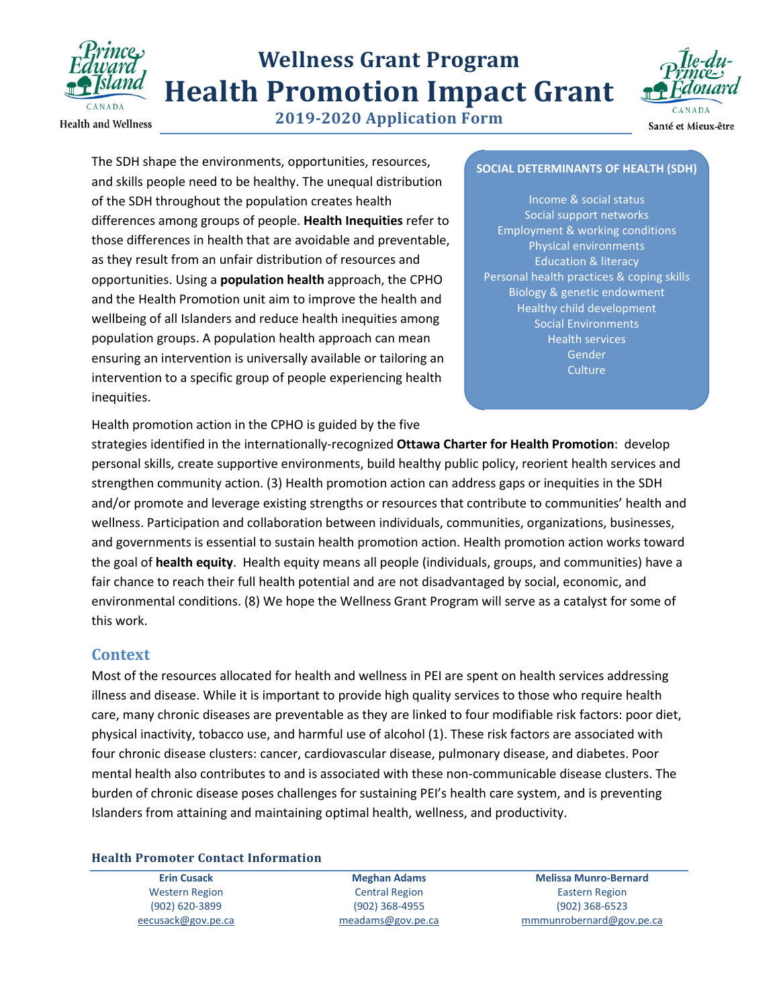

**Health and Wellness** 

**2019-2020 Application Form**



Santé et Mieux-être

The SDH shape the environments, opportunities, resources, and skills people need to be healthy. The unequal distribution of the SDH throughout the population creates health differences among groups of people. **Health Inequities** refer to those differences in health that are avoidable and preventable, as they result from an unfair distribution of resources and opportunities. Using a **population health** approach, the CPHO and the Health Promotion unit aim to improve the health and wellbeing of all Islanders and reduce health inequities among population groups. A population health approach can mean ensuring an intervention is universally available or tailoring an intervention to a specific group of people experiencing health inequities.

#### **SOCIAL DETERMINANTS OF HEALTH (SDH)**

Income & social status Social support networks Employment & working conditions Physical environments Education & literacy Personal health practices & coping skills Biology & genetic endowment Healthy child development Social Environments Health services Gender **Culture** 

Health promotion action in the CPHO is guided by the five

strategies identified in the internationally-recognized **Ottawa Charter for Health Promotion**: develop personal skills, create supportive environments, build healthy public policy, reorient health services and strengthen community action. (3) Health promotion action can address gaps or inequities in the SDH and/or promote and leverage existing strengths or resources that contribute to communities' health and wellness. Participation and collaboration between individuals, communities, organizations, businesses, and governments is essential to sustain health promotion action. Health promotion action works toward the goal of **health equity**. Health equity means all people (individuals, groups, and communities) have a fair chance to reach their full health potential and are not disadvantaged by social, economic, and environmental conditions. (8) We hope the Wellness Grant Program will serve as a catalyst for some of this work.

#### **Context**

Most of the resources allocated for health and wellness in PEI are spent on health services addressing illness and disease. While it is important to provide high quality services to those who require health care, many chronic diseases are preventable as they are linked to four modifiable risk factors: poor diet, physical inactivity, tobacco use, and harmful use of alcohol (1). These risk factors are associated with four chronic disease clusters: cancer, cardiovascular disease, pulmonary disease, and diabetes. Poor mental health also contributes to and is associated with these non-communicable disease clusters. The burden of chronic disease poses challenges for sustaining PEI's health care system, and is preventing Islanders from attaining and maintaining optimal health, wellness, and productivity.

#### **Health Promoter Contact Information**

**Erin Cusack** Western Region (902) 620-3899 [eecusack@gov.pe.ca](mailto:eecusack@gov.pe.ca)

**Meghan Adams** Central Region (902) 368-4955 [meadams@gov.pe.ca](mailto:meadams@gov.pe.ca)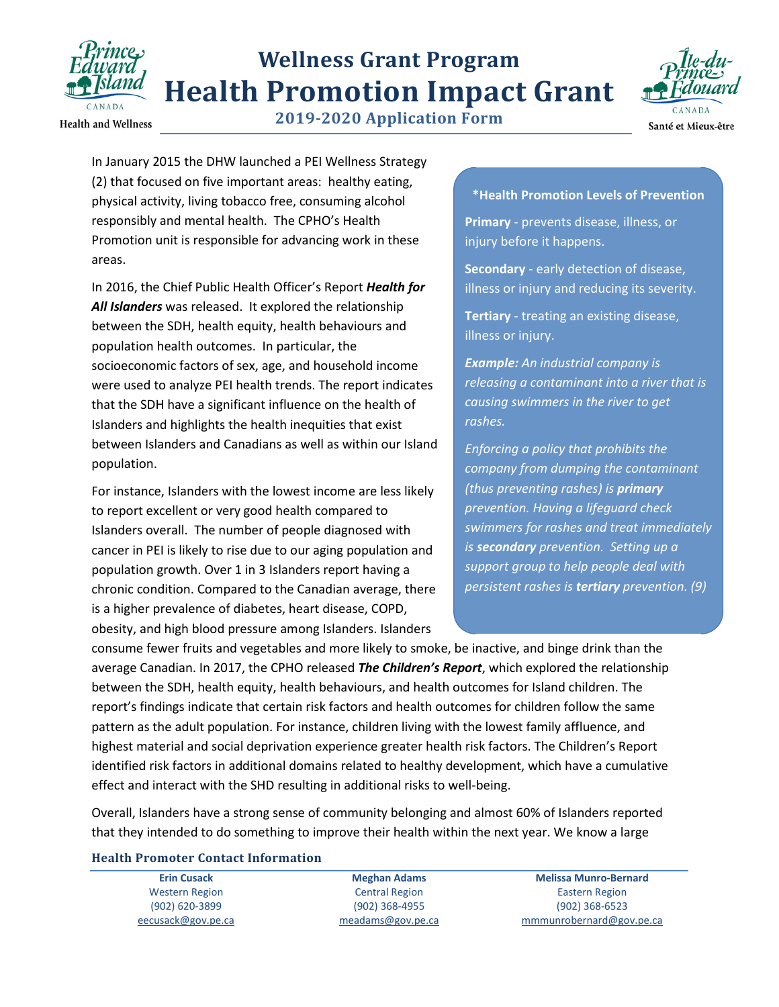

**Health and Wellness** 

**2019-2020 Application Form**



In January 2015 the DHW launched a PEI Wellness Strategy (2) that focused on five important areas: healthy eating, physical activity, living tobacco free, consuming alcohol responsibly and mental health. The CPHO's Health Promotion unit is responsible for advancing work in these areas.

In 2016, the Chief Public Health Officer's Report *Health for All Islanders* was released. It explored the relationship between the SDH, health equity, health behaviours and population health outcomes. In particular, the socioeconomic factors of sex, age, and household income were used to analyze PEI health trends. The report indicates that the SDH have a significant influence on the health of Islanders and highlights the health inequities that exist between Islanders and Canadians as well as within our Island population.

For instance, Islanders with the lowest income are less likely to report excellent or very good health compared to Islanders overall. The number of people diagnosed with cancer in PEI is likely to rise due to our aging population and population growth. Over 1 in 3 Islanders report having a chronic condition. Compared to the Canadian average, there is a higher prevalence of diabetes, heart disease, COPD, obesity, and high blood pressure among Islanders. Islanders

#### **\*Health Promotion Levels of Prevention**

**Primary** - prevents disease, illness, or injury before it happens.

**Secondary** - early detection of disease, illness or injury and reducing its severity.

**Tertiary** - treating an existing disease, illness or injury.

*Example: An industrial company is releasing a contaminant into a river that is causing swimmers in the river to get rashes.* 

*Enforcing a policy that prohibits the company from dumping the contaminant (thus preventing rashes) is primary prevention. Having a lifeguard check swimmers for rashes and treat immediately is secondary prevention. Setting up a support group to help people deal with persistent rashes is tertiary prevention. (9)*

consume fewer fruits and vegetables and more likely to smoke, be inactive, and binge drink than the average Canadian. In 2017, the CPHO released *The Children's Report*, which explored the relationship between the SDH, health equity, health behaviours, and health outcomes for Island children. The report's findings indicate that certain risk factors and health outcomes for children follow the same pattern as the adult population. For instance, children living with the lowest family affluence, and highest material and social deprivation experience greater health risk factors. The Children's Report identified risk factors in additional domains related to healthy development, which have a cumulative effect and interact with the SHD resulting in additional risks to well-being.

Overall, Islanders have a strong sense of community belonging and almost 60% of Islanders reported that they intended to do something to improve their health within the next year. We know a large

#### **Health Promoter Contact Information**

**Erin Cusack** Western Region (902) 620-3899 [eecusack@gov.pe.ca](mailto:eecusack@gov.pe.ca)

**Meghan Adams** Central Region (902) 368-4955 [meadams@gov.pe.ca](mailto:meadams@gov.pe.ca)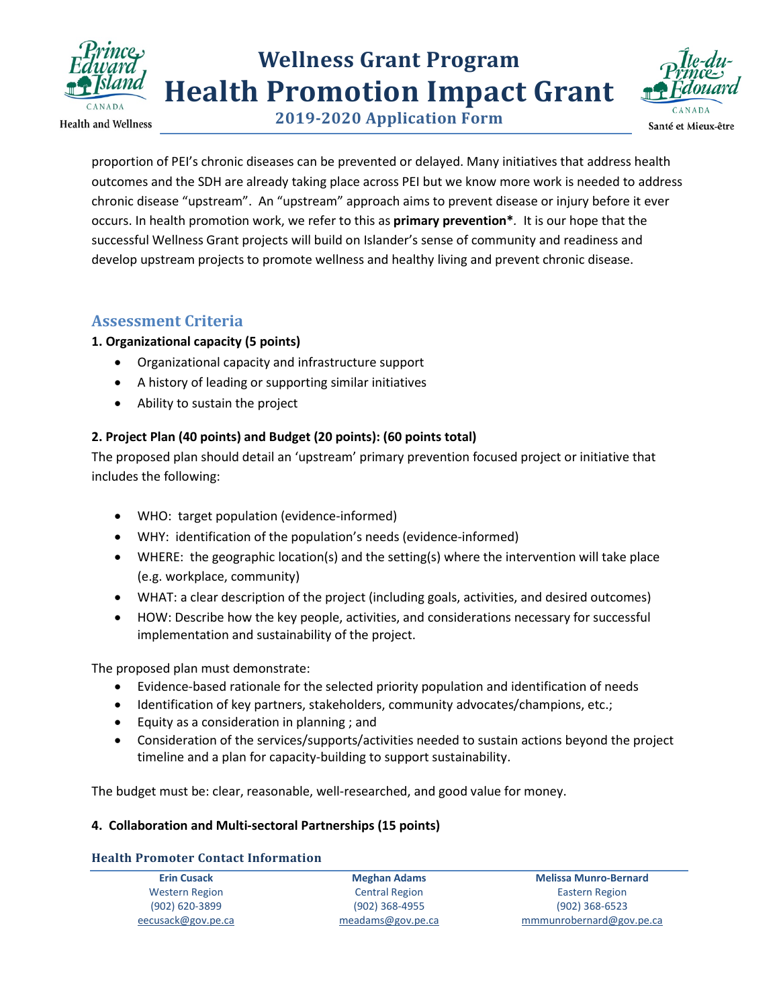

**Health and Wellness** 

**2019-2020 Application Form**



proportion of PEI's chronic diseases can be prevented or delayed. Many initiatives that address health outcomes and the SDH are already taking place across PEI but we know more work is needed to address chronic disease "upstream". An "upstream" approach aims to prevent disease or injury before it ever occurs. In health promotion work, we refer to this as **primary prevention\****.* It is our hope that the successful Wellness Grant projects will build on Islander's sense of community and readiness and develop upstream projects to promote wellness and healthy living and prevent chronic disease.

### **Assessment Criteria**

#### **1. Organizational capacity (5 points)**

- Organizational capacity and infrastructure support
- A history of leading or supporting similar initiatives
- Ability to sustain the project

### **2. Project Plan (40 points) and Budget (20 points): (60 points total)**

The proposed plan should detail an 'upstream' primary prevention focused project or initiative that includes the following:

- WHO: target population (evidence-informed)
- WHY: identification of the population's needs (evidence-informed)
- WHERE: the geographic location(s) and the setting(s) where the intervention will take place (e.g. workplace, community)
- WHAT: a clear description of the project (including goals, activities, and desired outcomes)
- HOW: Describe how the key people, activities, and considerations necessary for successful implementation and sustainability of the project.

The proposed plan must demonstrate:

- Evidence-based rationale for the selected priority population and identification of needs
- Identification of key partners, stakeholders, community advocates/champions, etc.;
- Equity as a consideration in planning ; and
- Consideration of the services/supports/activities needed to sustain actions beyond the project timeline and a plan for capacity-building to support sustainability.

The budget must be: clear, reasonable, well-researched, and good value for money.

#### **4. Collaboration and Multi-sectoral Partnerships (15 points)**

#### **Health Promoter Contact Information**

| <b>Erin Cusack</b> | <b>Meghan Adams</b>   | <b>Melissa Munro-Bernard</b> |
|--------------------|-----------------------|------------------------------|
| Western Region     | <b>Central Region</b> | Eastern Region               |
| (902) 620-3899     | $(902)$ 368-4955      | $(902)$ 368-6523             |
| eecusack@gov.pe.ca | $meadams@gov.$ pe.ca  | mmmunrobernard@gov.pe.ca     |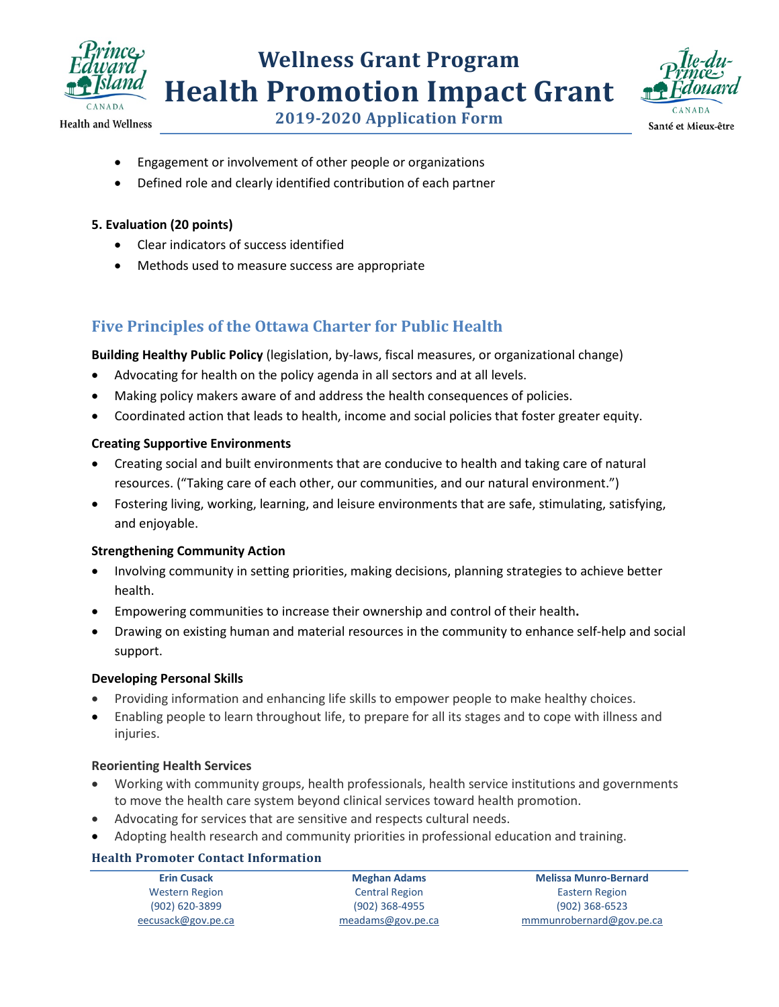



**2019-2020 Application Form**

- Engagement or involvement of other people or organizations
- Defined role and clearly identified contribution of each partner

#### **5. Evaluation (20 points)**

- Clear indicators of success identified
- Methods used to measure success are appropriate

### **Five Principles of the Ottawa Charter for Public Health**

**Building Healthy Public Policy** (legislation, by-laws, fiscal measures, or organizational change)

- Advocating for health on the policy agenda in all sectors and at all levels.
- Making policy makers aware of and address the health consequences of policies.
- Coordinated action that leads to health, income and social policies that foster greater equity.

#### **Creating Supportive Environments**

- Creating social and built environments that are conducive to health and taking care of natural resources. ("Taking care of each other, our communities, and our natural environment.")
- Fostering living, working, learning, and leisure environments that are safe, stimulating, satisfying, and enjoyable.

#### **Strengthening Community Action**

- Involving community in setting priorities, making decisions, planning strategies to achieve better health.
- Empowering communities to increase their ownership and control of their health**.**
- Drawing on existing human and material resources in the community to enhance self-help and social support.

#### **Developing Personal Skills**

- Providing information and enhancing life skills to empower people to make healthy choices.
- Enabling people to learn throughout life, to prepare for all its stages and to cope with illness and injuries.

#### **Reorienting Health Services**

- Working with community groups, health professionals, health service institutions and governments to move the health care system beyond clinical services toward health promotion.
- Advocating for services that are sensitive and respects cultural needs.
- Adopting health research and community priorities in professional education and training.

#### **Health Promoter Contact Information**

| <b>Erin Cusack</b> | <b>Meghan Adams</b>   | <b>Melissa Munro-Bernard</b> |
|--------------------|-----------------------|------------------------------|
| Western Region     | <b>Central Region</b> | Eastern Region               |
| (902) 620-3899     | $(902)$ 368-4955      | $(902)$ 368-6523             |
| eecusack@gov.pe.ca | meadams@gov.pe.ca     | mmmunrobernard@gov.pe.ca     |